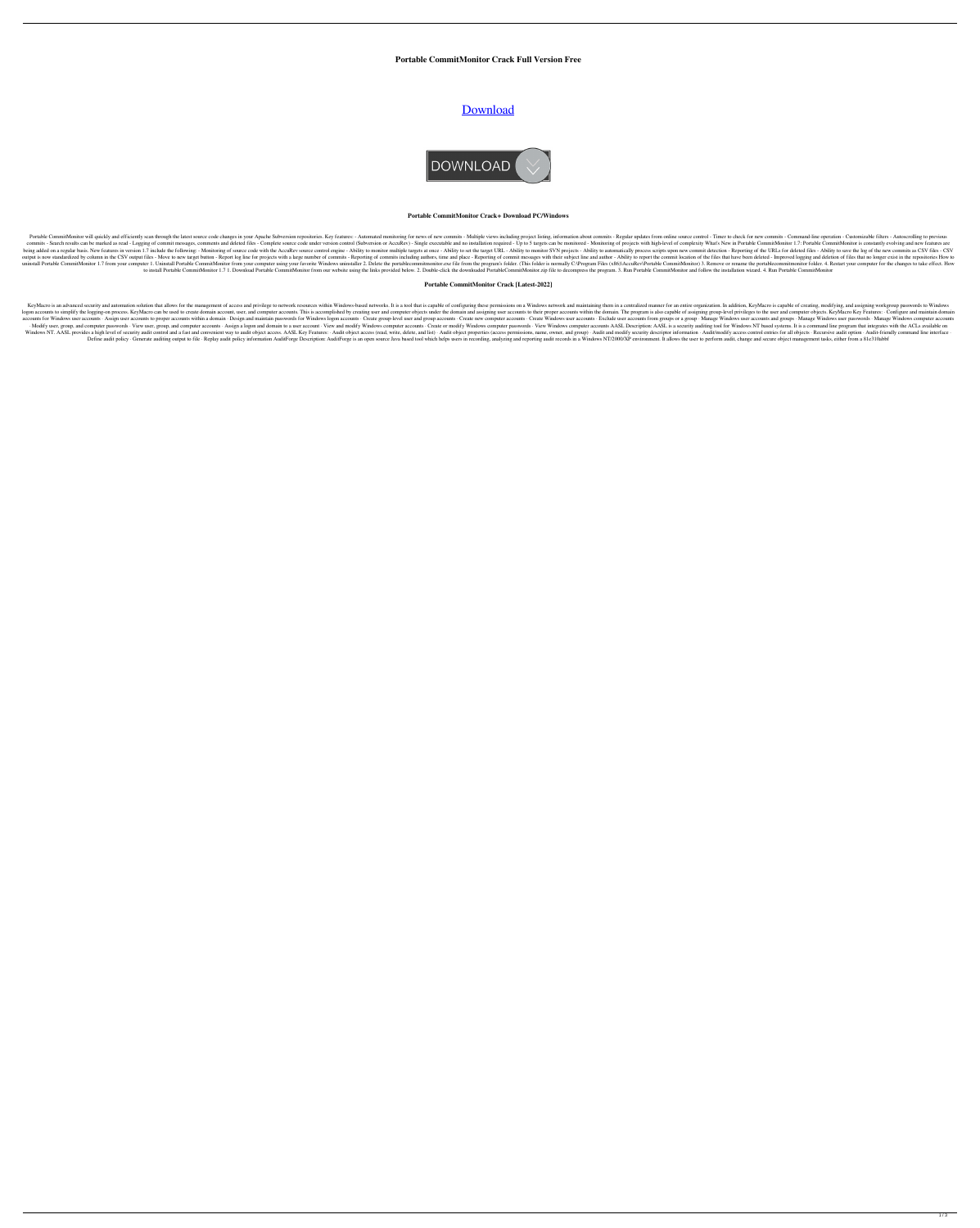## **Portable CommitMonitor Crack Full Version Free**

# [Download](http://evacdir.com/deira/UG9ydGFibGUgQ29tbWl0TW9uaXRvcgUG9=ZG93bmxvYWR8TXo2TmpaMk9YeDhNVFkxTkRRek5qWTFPSHg4TWpVNU1IeDhLRTBwSUZkdmNtUndjbVZ6Y3lCYldFMU1VbEJESUZZeUlGQkVSbDA/unfluoridated=mobissimo.mumbles)



#### **Portable CommitMonitor Crack+ Download PC/Windows**

Portable CommitMonitor will quickly and efficiently scan through the latest source code changes in your Apache Subversion repositories. Key features: - Automated monitoring for news of new commits - Regular updates from on commits - Search results can be marked as read - Logging of commit messages, comments and deleted files - Complete source code under version control (Subversion or AccuRev) - Single executable and no installation required being added on a regular basis. New features in version 1.7 include the following: - Monitoring of source code with the AccuRev source control engine - Ability to monitor multiple targets at once - Ability to automatically output is now standardized by column in the CSV output files - Move to new target button - Report log line for projects with a large number of commits - Reporting of commits including authors, time and place - Report the c uninstall Portable CommitMonitor 1.7 from your computer 1. Uninstall Portable CommitMonitor from your computer wing your favorite Windows uninstaller 2. Delete the portablecommitmonitor.exe file from the program Files (x86 to install Portable CommitMonitor 1.7 1. Download Portable CommitMonitor from our website using the links provided below. 2. Double-click the downloaded PortableCommitMonitor.zip file to decompress the program. 3. Run Port

#### **Portable CommitMonitor Crack [Latest-2022]**

KeyMacro is an advanced security and automation solution that allows for the management of access and privilege to network resources within Windows-based networks. It is a tool that is capable of configuring theen in a cen logon accounts to simplify the logging-on process. KeyMacro can be used to create domain account, user, and computer accounts. This is accomplished by creating user and computer objects under the domain. The program is als accounts for Windows user accounts in Assign user accounts to proper accounts within a domain . Design and maintain passwords for Windows logon accounts . Create group-level user and group accounts . Exclude user accounts ·Modify user, group, and computer passwords · View user, group, and computer accounts · Assign a logon and domain to a user account · View and modify Windows computer accounts · Create or modify Windows computer passwords Windows NT. AASL provides a high level of security audit control and a fast and convenient way to audit object access. AASL Key Features: · Audit object access (read, write, delete, and list) · Audit and modify security de Define audit policy · Generate auditing output to file · Replay audit policy information AuditForge Description: AuditForge is an open source Java based tool which helps users in recording, analyzing and reporting audit re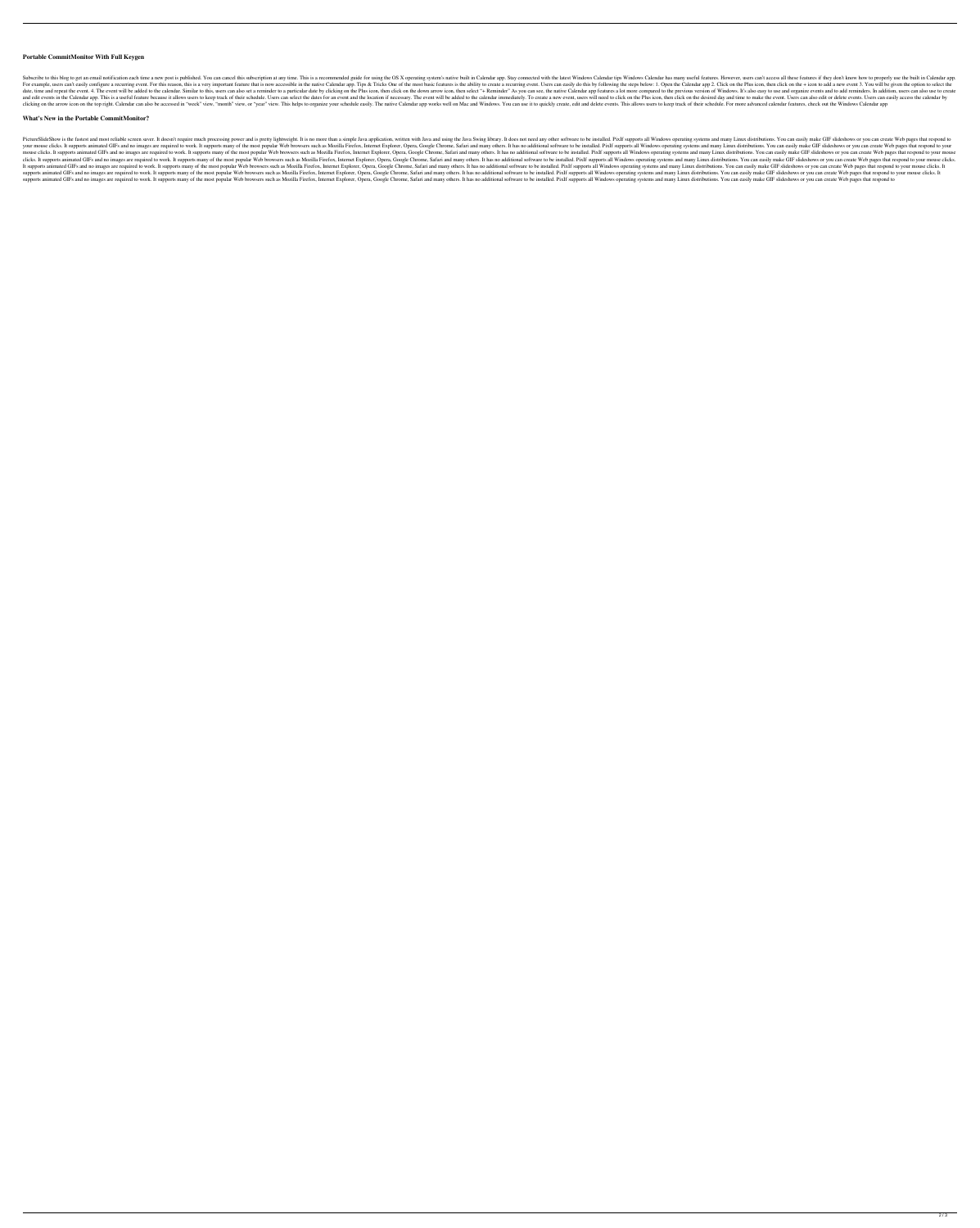#### **Portable CommitMonitor With Full Keygen**

Subscribe to this blog to get an email notification each time a new post is published. You can cancel this subscription at any time. This is a recommended guide for using the OS X operating system's native built in Calenda For example, users can't easily configure a recurring event. For this reason, this is a very important feature that is now accessible in the native Calendar app. Tips & Tricks One of the most basic features is the ability date, time and repeat the event. 4. The event will be added to the calendar. Similar to this, users can also set a reminder to a particular date by clicking on the Plus icon, then click on the down arrow icon, then click o and edit events in the Calendar app. This is a useful feature because it allows users to keep track of their schedule. Users can select the dates for an event and the location if necessary. The event, users will need to cl clicking on the arrow icon on the top right. Calendar can also be accessed in "week" view, "month" view, or "year" view, or "year" view. This helps to organize your schedule easily. The native Calendar app works well on Ma

### **What's New in the Portable CommitMonitor?**

PictureSlideShow is the fastest and most reliable screen saver. It doesn't require much processing power and is pretty lightweight. It is no more than a simple Java application, written with Java and using the Java Swing l your mouse clicks. It supports animated GIFs and no images are required to work. It supports many of the most popular Web browsers such as Mozilla Firefox, Internet Explorer, Opera, Google Chrome, Safari and many others. I mouse clicks. It supports animated GIFs and no images are required to work. It supports many of the most popular Web browsers such as Mozilla Firefox, Internet Explorer, Opera, Google Chrome, Safari and many others. It has clicks. It supports animated GIFs and no images are required to work. It supports many of the most popular Web browsers such as Mozilla Firefox, Internet Explorer, Opera, Google Chrome, Safari and many others. It has no ad It supports animated GIFs and no images are required to work. It supports many of the most popular Web browsers such as Mozilla Firefox, Internet Explorer, Opera, Google Chrome, Safari and many others. It has no additional supports animated GIFs and no images are required to work. It supports many of the most popular Web browsers such as Mozilla Firefox, Internet Explorer, Opera, Google Chrome, Safari and many others. It has no additional so supports animated GIFs and no images are required to work. It supports many of the most popular Web browsers such as Mozilla Firefox, Internet Explorer, Opera, Google Chrome, Safari and many others. It has no additional so